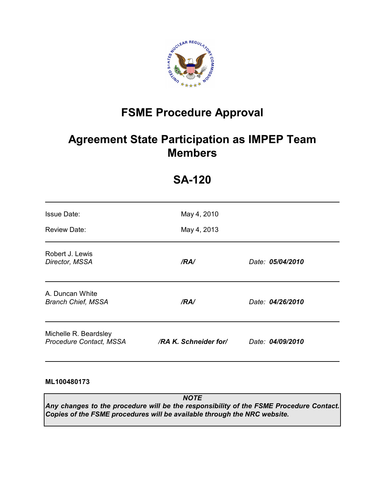

# **FSME Procedure Approval**

## **Agreement State Participation as IMPEP Team Members**

| <b>Issue Date:</b><br><b>Review Date:</b>        | May 4, 2010<br>May 4, 2013 |                  |
|--------------------------------------------------|----------------------------|------------------|
| Robert J. Lewis<br>Director, MSSA                | /RA/                       | Date: 05/04/2010 |
| A. Duncan White<br><b>Branch Chief, MSSA</b>     | /RA/                       | Date: 04/26/2010 |
| Michelle R. Beardsley<br>Procedure Contact, MSSA | /RA K. Schneider for/      | Date: 04/09/2010 |

## **SA-120**

## **ML100480173**

*NOTE Any changes to the procedure will be the responsibility of the FSME Procedure Contact. Copies of the FSME procedures will be available through the NRC website.*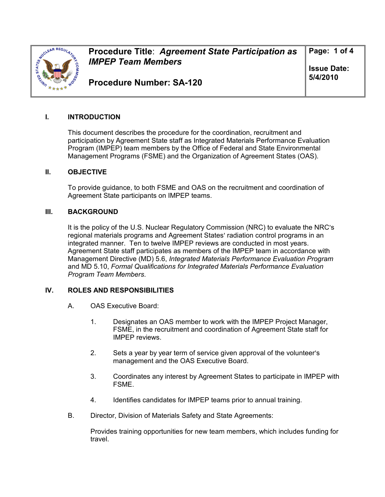

**Procedure Title**: *Agreement State Participation as IMPEP Team Members* 

**Page: 1 of 4** 

**Issue Date: 5/4/2010** 

**Procedure Number: SA-120** 

## **I. INTRODUCTION**

This document describes the procedure for the coordination, recruitment and participation by Agreement State staff as Integrated Materials Performance Evaluation Program (IMPEP) team members by the Office of Federal and State Environmental Management Programs (FSME) and the Organization of Agreement States (OAS).

## **II. OBJECTIVE**

To provide guidance, to both FSME and OAS on the recruitment and coordination of Agreement State participants on IMPEP teams.

#### **III. BACKGROUND**

It is the policy of the U.S. Nuclear Regulatory Commission (NRC) to evaluate the NRC's regional materials programs and Agreement States' radiation control programs in an integrated manner. Ten to twelve IMPEP reviews are conducted in most years. Agreement State staff participates as members of the IMPEP team in accordance with Management Directive (MD) 5.6, *Integrated Materials Performance Evaluation Program* and MD 5.10, *Formal Qualifications for Integrated Materials Performance Evaluation Program Team Members*.

## **IV. ROLES AND RESPONSIBILITIES**

- A. OAS Executive Board:
	- 1. Designates an OAS member to work with the IMPEP Project Manager, FSME, in the recruitment and coordination of Agreement State staff for IMPEP reviews.
	- 2. Sets a year by year term of service given approval of the volunteer's management and the OAS Executive Board.
	- 3. Coordinates any interest by Agreement States to participate in IMPEP with FSME.
	- 4. Identifies candidates for IMPEP teams prior to annual training.
- B. Director, Division of Materials Safety and State Agreements:

Provides training opportunities for new team members, which includes funding for travel.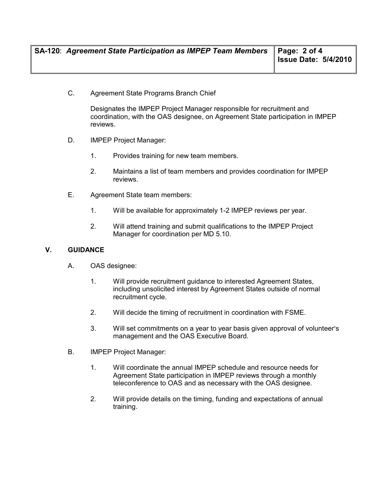C. Agreement State Programs Branch Chief

Designates the IMPEP Project Manager responsible for recruitment and coordination, with the OAS designee, on Agreement State participation in IMPEP reviews.

- D. IMPEP Project Manager:
	- 1. Provides training for new team members.
	- 2. Maintains a list of team members and provides coordination for IMPEP reviews.
- E. Agreement State team members:
	- 1. Will be available for approximately 1-2 IMPEP reviews per year.
	- 2. Will attend training and submit qualifications to the IMPEP Project Manager for coordination per MD 5.10.

## **V. GUIDANCE**

- A. OAS designee:
	- 1. Will provide recruitment guidance to interested Agreement States, including unsolicited interest by Agreement States outside of normal recruitment cycle.
	- 2. Will decide the timing of recruitment in coordination with FSME.
	- 3. Will set commitments on a year to year basis given approval of volunteer's management and the OAS Executive Board.
- B. IMPEP Project Manager:
	- 1. Will coordinate the annual IMPEP schedule and resource needs for Agreement State participation in IMPEP reviews through a monthly teleconference to OAS and as necessary with the OAS designee.
	- 2. Will provide details on the timing, funding and expectations of annual training.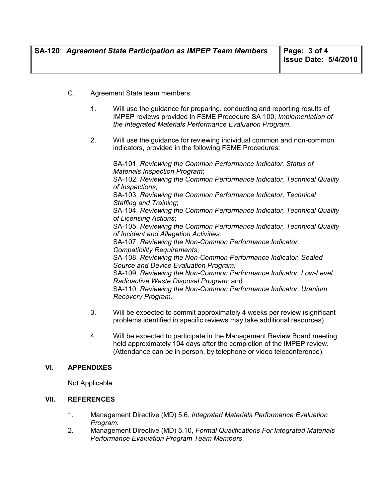- C. Agreement State team members:
	- 1. Will use the guidance for preparing, conducting and reporting results of IMPEP reviews provided in FSME Procedure SA 100, *Implementation of the Integrated Materials Performance Evaluation Program*.
	- 2. Will use the guidance for reviewing individual common and non-common indicators, provided in the following FSME Procedures:

 SA-101, *Reviewing the Common Performance Indicator, Status of Materials Inspection Program*; SA-102, *Reviewing the Common Performance Indicator, Technical Quality of Inspections;*  SA-103, *Reviewing the Common Performance Indicator, Technical Staffing and Training*; SA-104, *Reviewing the Common Performance Indicator, Technical Quality of Licensing Actions*; SA-105, *Reviewing the Common Performance Indicator, Technical Quality of Incident and Allegation Activities;* SA-107, *Reviewing the Non-Common Performance Indicator, Compatibility Requirements*; SA-108, *Reviewing the Non-Common Performance Indicator, Sealed Source and Device Evaluation Program;*  SA-109, *Reviewing the Non-Common Performance Indicator, Low-Level Radioactive Waste Disposal Program;* and SA-110, *Reviewing the Non-Common Performance Indicator, Uranium Recovery Program.*

- 3. Will be expected to commit approximately 4 weeks per review (significant problems identified in specific reviews may take additional resources).
- 4. Will be expected to participate in the Management Review Board meeting held approximately 104 days after the completion of the IMPEP review. (Attendance can be in person, by telephone or video teleconference).

## **VI. APPENDIXES**

Not Applicable

## **VII. REFERENCES**

- 1. Management Directive (MD) 5.6, *Integrated Materials Performance Evaluation Program.*
- 2. Management Directive (MD) 5.10, *Formal Qualifications For Integrated Materials Performance Evaluation Program Team Members*.